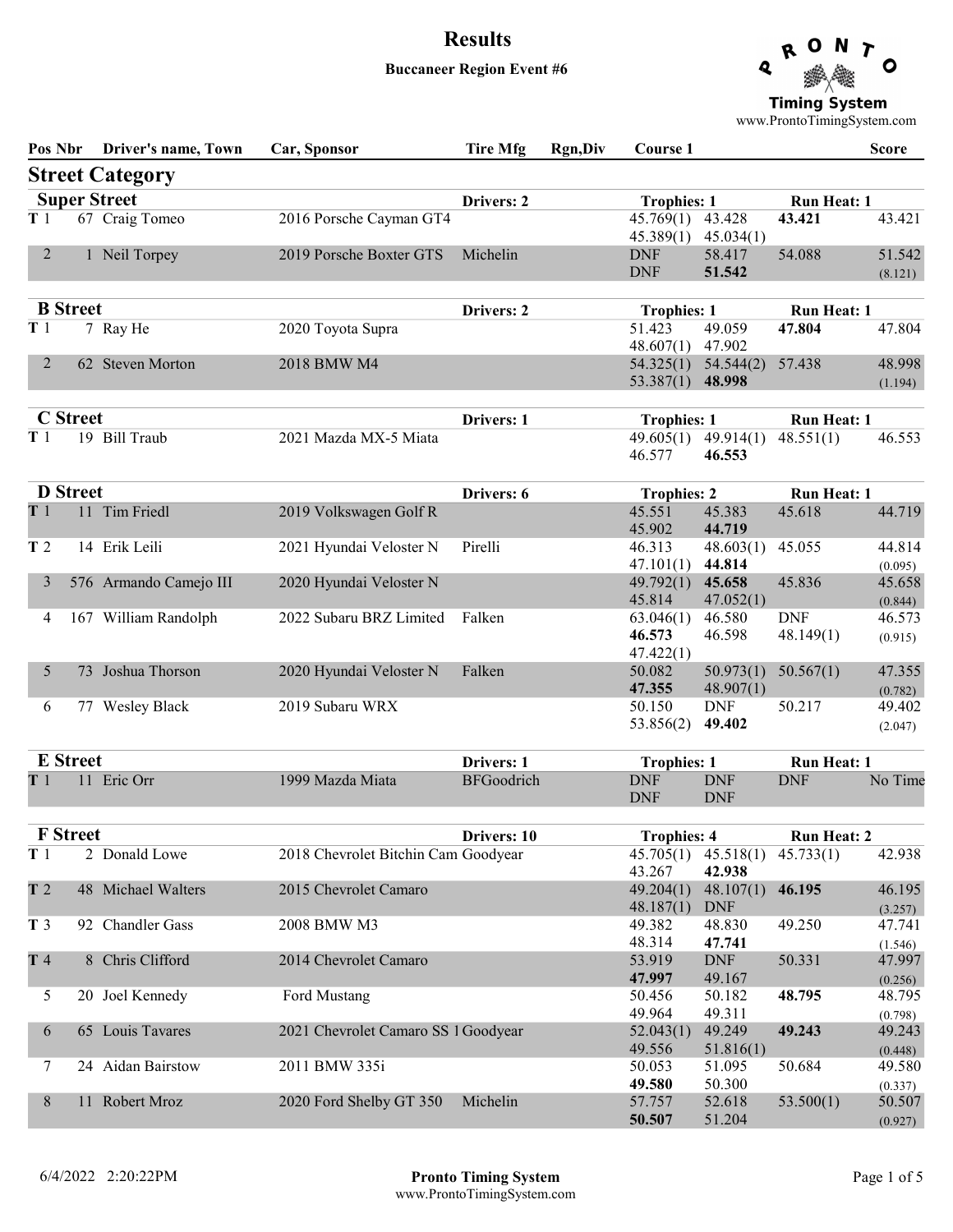### Buccaneer Region Event #6



www.ProntoTimingSystem.com

| Pos Nbr        |                 | Driver's name, Town    | Car, Sponsor                        | <b>Tire Mfg</b>   | <b>Rgn,Div</b> | Course 1                                  |                               |                                 | <b>Score</b>                 |
|----------------|-----------------|------------------------|-------------------------------------|-------------------|----------------|-------------------------------------------|-------------------------------|---------------------------------|------------------------------|
|                |                 | <b>Street Category</b> |                                     |                   |                |                                           |                               |                                 |                              |
|                |                 | <b>Super Street</b>    |                                     | Drivers: 2        |                | <b>Trophies: 1</b>                        |                               | <b>Run Heat: 1</b>              |                              |
| T1             |                 | 67 Craig Tomeo         | 2016 Porsche Cayman GT4             |                   |                | 45.769(1)<br>45.389(1)                    | 43.428<br>45.034(1)           | 43.421                          | 43.421                       |
| $\overline{2}$ |                 | 1 Neil Torpey          | 2019 Porsche Boxter GTS             | Michelin          |                | <b>DNF</b><br><b>DNF</b>                  | 58.417<br>51.542              | 54.088                          | 51.542<br>(8.121)            |
|                | <b>B</b> Street |                        |                                     | Drivers: 2        |                | <b>Trophies: 1</b>                        |                               | <b>Run Heat: 1</b>              |                              |
| T <sub>1</sub> |                 | 7 Ray He               | 2020 Toyota Supra                   |                   |                | 51.423<br>48.607(1)                       | 49.059<br>47.902              | 47.804                          | 47.804                       |
| $\overline{2}$ |                 | 62 Steven Morton       | 2018 BMW M4                         |                   |                | 54.325(1)<br>53.387(1)                    | 54.544(2)<br>48.998           | 57.438                          | 48.998<br>(1.194)            |
|                | <b>C</b> Street |                        |                                     | Drivers: 1        |                |                                           |                               |                                 |                              |
| T1             |                 | 19 Bill Traub          | 2021 Mazda MX-5 Miata               |                   |                | <b>Trophies: 1</b><br>49.605(1)<br>46.577 | 49.914(1)<br>46.553           | <b>Run Heat: 1</b><br>48.551(1) | 46.553                       |
|                | <b>D</b> Street |                        |                                     | Drivers: 6        |                | <b>Trophies: 2</b>                        |                               | <b>Run Heat: 1</b>              |                              |
| T1             |                 | 11 Tim Friedl          | 2019 Volkswagen Golf R              |                   |                | 45.551<br>45.902                          | 45.383<br>44.719              | 45.618                          | 44.719                       |
| T <sub>2</sub> |                 | 14 Erik Leili          | 2021 Hyundai Veloster N             | Pirelli           |                | 46.313                                    | 48.603(1)                     | 45.055                          | 44.814                       |
| 3              |                 | 576 Armando Camejo III | 2020 Hyundai Veloster N             |                   |                | 47.101(1)<br>49.792(1)<br>45.814          | 44.814<br>45.658<br>47.052(1) | 45.836                          | (0.095)<br>45.658<br>(0.844) |
| 4              |                 | 167 William Randolph   | 2022 Subaru BRZ Limited             | Falken            |                | 63.046(1)<br>46.573<br>47.422(1)          | 46.580<br>46.598              | <b>DNF</b><br>48.149(1)         | 46.573<br>(0.915)            |
| 5              |                 | 73 Joshua Thorson      | 2020 Hyundai Veloster N             | Falken            |                | 50.082<br>47.355                          | 50.973(1)<br>48.907(1)        | 50.567(1)                       | 47.355<br>(0.782)            |
| 6              |                 | 77 Wesley Black        | 2019 Subaru WRX                     |                   |                | 50.150<br>53.856(2)                       | <b>DNF</b><br>49.402          | 50.217                          | 49.402<br>(2.047)            |
|                | <b>E</b> Street |                        |                                     | Drivers: 1        |                | <b>Trophies: 1</b>                        |                               | <b>Run Heat: 1</b>              |                              |
| T 1            |                 | 11 Eric Orr            | 1999 Mazda Miata                    | <b>BFGoodrich</b> |                | <b>DNF</b><br><b>DNF</b>                  | <b>DNF</b><br><b>DNF</b>      | <b>DNF</b>                      | No Time                      |
|                | <b>F</b> Street |                        |                                     | Drivers: 10       |                | <b>Trophies: 4</b>                        |                               | <b>Run Heat: 2</b>              |                              |
| T <sub>1</sub> |                 | 2 Donald Lowe          | 2018 Chevrolet Bitchin Cam Goodyear |                   |                | 45.705(1)<br>43.267                       | 45.518(1)<br>42.938           | 45.733(1)                       | 42.938                       |
| T <sub>2</sub> |                 | 48 Michael Walters     | 2015 Chevrolet Camaro               |                   |                | 49.204(1)<br>48.187(1)                    | 48.107(1)<br><b>DNF</b>       | 46.195                          | 46.195<br>(3.257)            |
| T <sub>3</sub> |                 | 92 Chandler Gass       | 2008 BMW M3                         |                   |                | 49.382<br>48.314                          | 48.830<br>47.741              | 49.250                          | 47.741<br>(1.546)            |
| T 4            |                 | 8 Chris Clifford       | 2014 Chevrolet Camaro               |                   |                | 53.919<br>47.997                          | <b>DNF</b><br>49.167          | 50.331                          | 47.997<br>(0.256)            |
| 5              |                 | 20 Joel Kennedy        | Ford Mustang                        |                   |                | 50.456<br>49.964                          | 50.182<br>49.311              | 48.795                          | 48.795<br>(0.798)            |
| 6              |                 | 65 Louis Tavares       | 2021 Chevrolet Camaro SS 1 Goodyear |                   |                | 52.043(1)<br>49.556                       | 49.249<br>51.816(1)           | 49.243                          | 49.243<br>(0.448)            |
| 7              |                 | 24 Aidan Bairstow      | 2011 BMW 335i                       |                   |                | 50.053<br>49.580                          | 51.095<br>50.300              | 50.684                          | 49.580<br>(0.337)            |
| 8              |                 | 11 Robert Mroz         | 2020 Ford Shelby GT 350             | Michelin          |                | 57.757<br>50.507                          | 52.618<br>51.204              | 53.500(1)                       | 50.507<br>(0.927)            |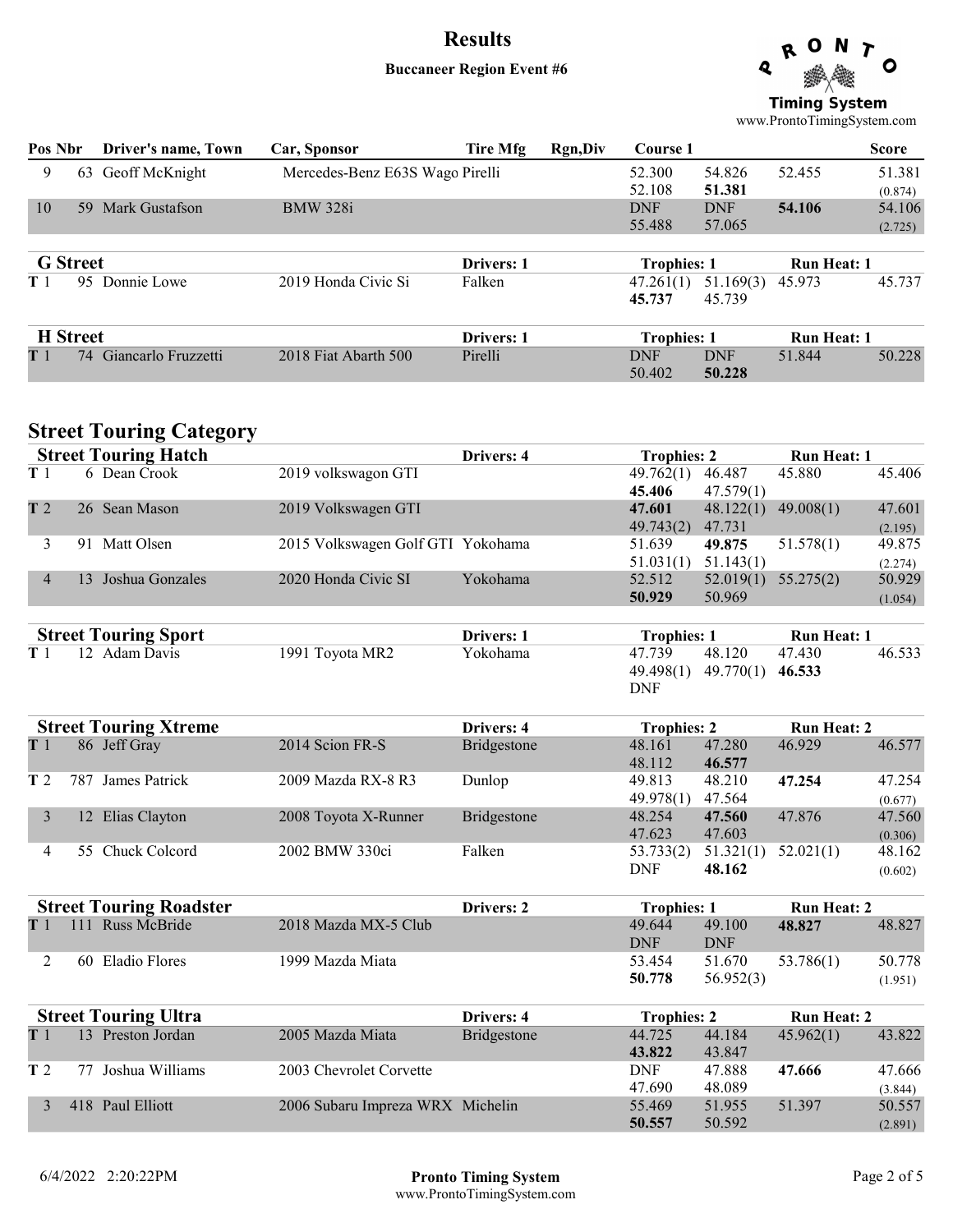### Buccaneer Region Event #6



www.ProntoTimingSystem.com

| Pos Nbr         | Driver's name, Town       | Car, Sponsor                    | Tire Mfg          | Rgn, Div | Course 1           |            |                    | <b>Score</b> |
|-----------------|---------------------------|---------------------------------|-------------------|----------|--------------------|------------|--------------------|--------------|
| 9               | Geoff McKnight<br>63      | Mercedes-Benz E63S Wago Pirelli |                   |          | 52.300             | 54.826     | 52.455             | 51.381       |
|                 |                           |                                 |                   |          | 52.108             | 51.381     |                    | (0.874)      |
| 10              | Mark Gustafson<br>-59     | <b>BMW 328i</b>                 |                   |          | <b>DNF</b>         | <b>DNF</b> | 54.106             | 54.106       |
|                 |                           |                                 |                   |          | 55.488             | 57.065     |                    | (2.725)      |
| <b>G</b> Street |                           |                                 | <b>Drivers: 1</b> |          | <b>Trophies: 1</b> |            | <b>Run Heat: 1</b> |              |
| T 1             | 95<br>Donnie Lowe         | 2019 Honda Civic Si             | Falken            |          | 47.261(1)          | 51.169(3)  | 45.973             | 45.737       |
|                 |                           |                                 |                   |          | 45.737             | 45.739     |                    |              |
|                 | <b>H</b> Street           |                                 | <b>Drivers: 1</b> |          | <b>Trophies: 1</b> |            | <b>Run Heat: 1</b> |              |
| T <sub>1</sub>  | Giancarlo Fruzzetti<br>74 | 2018 Fiat Abarth 500            | Pirelli           |          | <b>DNF</b>         | <b>DNF</b> | 51.844             | 50.228       |
|                 |                           |                                 |                   |          | 50.402             | 50.228     |                    |              |

## **Street Touring Category**

|                | <b>Street Touring Hatch</b>    |                                   | Drivers: 4  | <b>Trophies: 2</b>  |                     | <b>Run Heat: 1</b> |         |
|----------------|--------------------------------|-----------------------------------|-------------|---------------------|---------------------|--------------------|---------|
| T1             | 6 Dean Crook                   | 2019 volkswagon GTI               |             | 49.762(1)<br>45.406 | 46.487<br>47.579(1) | 45.880             | 45.406  |
| T <sub>2</sub> | 26 Sean Mason                  | 2019 Volkswagen GTI               |             | 47.601              | 48.122(1)           | 49.008(1)          | 47.601  |
|                |                                |                                   |             | 49.743(2)           | 47.731              |                    | (2.195) |
| 3              | 91 Matt Olsen                  | 2015 Volkswagen Golf GTI Yokohama |             | 51.639              | 49.875              | 51.578(1)          | 49.875  |
|                |                                |                                   |             | 51.031(1)           | 51.143(1)           |                    | (2.274) |
| $\overline{4}$ | 13 Joshua Gonzales             | 2020 Honda Civic SI               | Yokohama    | 52.512              | 52.019(1)           | 55.275(2)          | 50.929  |
|                |                                |                                   |             | 50.929              | 50.969              |                    | (1.054) |
|                | <b>Street Touring Sport</b>    |                                   | Drivers: 1  | <b>Trophies: 1</b>  |                     | <b>Run Heat: 1</b> |         |
| T <sub>1</sub> | 12 Adam Davis                  | 1991 Toyota MR2                   | Yokohama    | 47.739              | 48.120              | 47.430             | 46.533  |
|                |                                |                                   |             | 49.498(1)           | 49.770(1)           | 46.533             |         |
|                |                                |                                   |             | <b>DNF</b>          |                     |                    |         |
|                | <b>Street Touring Xtreme</b>   |                                   | Drivers: 4  | <b>Trophies: 2</b>  |                     | <b>Run Heat: 2</b> |         |
| T1             | 86 Jeff Gray                   | 2014 Scion FR-S                   | Bridgestone | 48.161              | 47.280              | 46.929             | 46.577  |
|                |                                |                                   |             | 48.112              | 46.577              |                    |         |
| T <sub>2</sub> | 787 James Patrick              | 2009 Mazda RX-8 R3                | Dunlop      | 49.813              | 48.210              | 47.254             | 47.254  |
|                |                                |                                   |             | 49.978(1)           | 47.564              |                    | (0.677) |
| 3              | 12 Elias Clayton               | 2008 Toyota X-Runner              | Bridgestone | 48.254              | 47.560              | 47.876             | 47.560  |
|                |                                |                                   |             | 47.623              | 47.603              |                    | (0.306) |
| 4              | 55 Chuck Colcord               | 2002 BMW 330ci                    | Falken      | 53.733(2)           | 51.321(1)           | 52.021(1)          | 48.162  |
|                |                                |                                   |             | <b>DNF</b>          | 48.162              |                    | (0.602) |
|                | <b>Street Touring Roadster</b> |                                   | Drivers: 2  | <b>Trophies: 1</b>  |                     | <b>Run Heat: 2</b> |         |
| T <sub>1</sub> | 111 Russ McBride               | 2018 Mazda MX-5 Club              |             | 49.644              | 49.100              | 48.827             | 48.827  |
|                |                                |                                   |             | <b>DNF</b>          | <b>DNF</b>          |                    |         |
| 2              | 60 Eladio Flores               | 1999 Mazda Miata                  |             | 53.454              | 51.670              | 53.786(1)          | 50.778  |
|                |                                |                                   |             | 50.778              | 56.952(3)           |                    | (1.951) |
|                | <b>Street Touring Ultra</b>    |                                   | Drivers: 4  | <b>Trophies: 2</b>  |                     | <b>Run Heat: 2</b> |         |
| T1             | 13 Preston Jordan              | 2005 Mazda Miata                  | Bridgestone | 44.725              | 44.184              | 45.962(1)          | 43.822  |
|                |                                |                                   |             | 43.822              | 43.847              |                    |         |
| T 2            | 77 Joshua Williams             | 2003 Chevrolet Corvette           |             | <b>DNF</b>          | 47.888              | 47.666             | 47.666  |
|                |                                |                                   |             | 47.690              | 48.089              |                    | (3.844) |
| 3              | 418 Paul Elliott               | 2006 Subaru Impreza WRX Michelin  |             | 55.469              | 51.955              | 51.397             | 50.557  |
|                |                                |                                   |             | 50.557              | 50.592              |                    | (2.891) |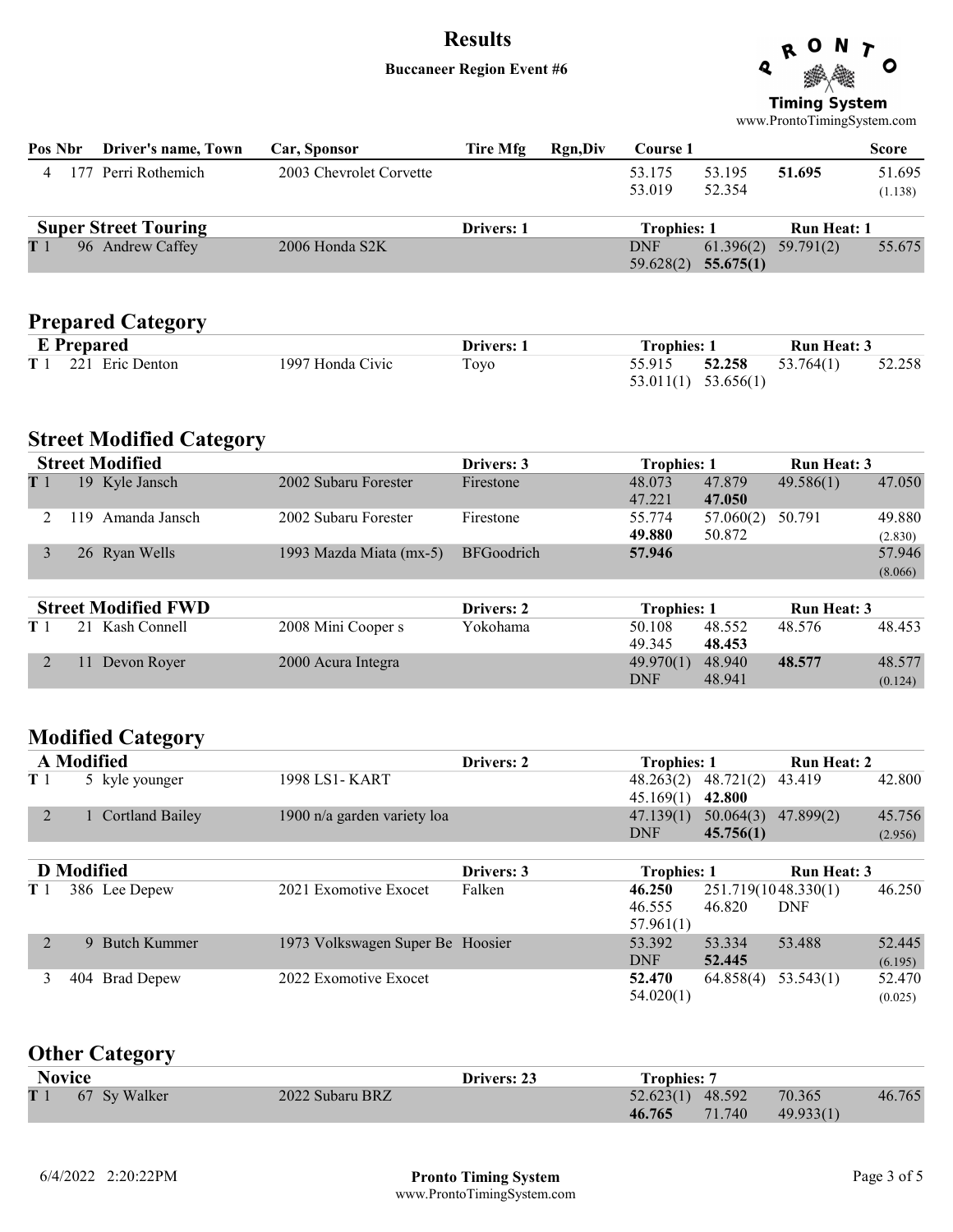#### Buccaneer Region Event #6



**Timing System** www.ProntoTimingSystem.com

| Pos Nbr        |                   | Driver's name, Town             | Car, Sponsor                     | <b>Tire Mfg</b>   | <b>Rgn,Div</b> | <b>Course 1</b>               |                        |                                   | <b>Score</b>      |
|----------------|-------------------|---------------------------------|----------------------------------|-------------------|----------------|-------------------------------|------------------------|-----------------------------------|-------------------|
| 4              |                   | 177 Perri Rothemich             | 2003 Chevrolet Corvette          |                   |                | 53.175<br>53.019              | 53.195<br>52.354       | 51.695                            | 51.695<br>(1.138) |
|                |                   | <b>Super Street Touring</b>     |                                  | Drivers: 1        |                | <b>Trophies: 1</b>            |                        | <b>Run Heat: 1</b>                |                   |
| T 1            |                   | 96 Andrew Caffey                | 2006 Honda S2K                   |                   |                | <b>DNF</b><br>59.628(2)       | 61.396(2)<br>55.675(1) | 59.791(2)                         | 55.675            |
|                |                   | <b>Prepared Category</b>        |                                  |                   |                |                               |                        |                                   |                   |
|                |                   | <b>E</b> Prepared               |                                  | Drivers: 1        |                | <b>Trophies: 1</b>            |                        | <b>Run Heat: 3</b>                |                   |
| T <sub>1</sub> |                   | 221 Eric Denton                 | 1997 Honda Civic                 | Toyo              |                | 55.915<br>53.011(1)           | 52.258<br>53.656(1)    | 53.764(1)                         | 52.258            |
|                |                   | <b>Street Modified Category</b> |                                  |                   |                |                               |                        |                                   |                   |
|                |                   | <b>Street Modified</b>          |                                  | Drivers: 3        |                | <b>Trophies: 1</b>            |                        | <b>Run Heat: 3</b>                |                   |
| T <sub>1</sub> |                   | 19 Kyle Jansch                  | 2002 Subaru Forester             | Firestone         |                | 48.073<br>47.221              | 47.879<br>47.050       | 49.586(1)                         | 47.050            |
| 2              |                   | 119 Amanda Jansch               | 2002 Subaru Forester             | Firestone         |                | 55.774<br>49.880              | 57.060(2)<br>50.872    | 50.791                            | 49.880<br>(2.830) |
| 3              |                   | 26 Ryan Wells                   | 1993 Mazda Miata (mx-5)          | <b>BFGoodrich</b> |                | 57.946                        |                        |                                   | 57.946<br>(8.066) |
|                |                   | <b>Street Modified FWD</b>      |                                  | Drivers: 2        |                | <b>Trophies: 1</b>            |                        | <b>Run Heat: 3</b>                |                   |
| T <sub>1</sub> |                   | 21 Kash Connell                 | 2008 Mini Cooper s               | Yokohama          |                | 50.108<br>49.345              | 48.552<br>48.453       | 48.576                            | 48.453            |
| 2              |                   | 11 Devon Royer                  | 2000 Acura Integra               |                   |                | 49.970(1)<br><b>DNF</b>       | 48.940<br>48.941       | 48.577                            | 48.577<br>(0.124) |
|                |                   | <b>Modified Category</b>        |                                  |                   |                |                               |                        |                                   |                   |
|                | <b>A</b> Modified |                                 |                                  | Drivers: 2        |                | <b>Trophies: 1</b>            |                        | <b>Run Heat: 2</b>                |                   |
| T <sub>1</sub> |                   | 5 kyle younger                  | 1998 LS1- KART                   |                   |                | 48.263(2)<br>45.169(1)        | 48.721(2)<br>42.800    | 43.419                            | 42.800            |
| 2              |                   | 1 Cortland Bailey               | 1900 n/a garden variety loa      |                   |                | 47.139(1)<br><b>DNF</b>       | 50.064(3)<br>45.756(1) | 47.899(2)                         | 45.756<br>(2.956) |
|                | <b>D</b> Modified |                                 |                                  | Drivers: 3        |                | <b>Trophies: 1</b>            |                        | Run Heat: 3                       |                   |
| T <sub>1</sub> |                   | 386 Lee Depew                   | 2021 Exomotive Exocet            | Falken            |                | 46.250<br>46.555<br>57.961(1) | 46.820                 | 251.719(1048.330(1)<br><b>DNF</b> | 46.250            |
| $\overline{2}$ |                   | 9 Butch Kummer                  | 1973 Volkswagen Super Be Hoosier |                   |                | 53.392<br><b>DNF</b>          | 53.334<br>52.445       | 53.488                            | 52.445<br>(6.195) |
| 3              |                   | 404 Brad Depew                  | 2022 Exomotive Exocet            |                   |                | 52.470<br>54.020(1)           | 64.858(4)              | 53.543(1)                         | 52.470<br>(0.025) |

### Other Category

| <b>Novice</b> |                  |                 | Drivers: 23 | <b>Trophies: 7</b> |           |        |
|---------------|------------------|-----------------|-------------|--------------------|-----------|--------|
|               | T 1 67 Sy Walker | 2022 Subaru BRZ |             | 52.623(1) 48.592   | 70.365    | 46.765 |
|               |                  |                 |             | 46.765 71.740      | 49.933(1) |        |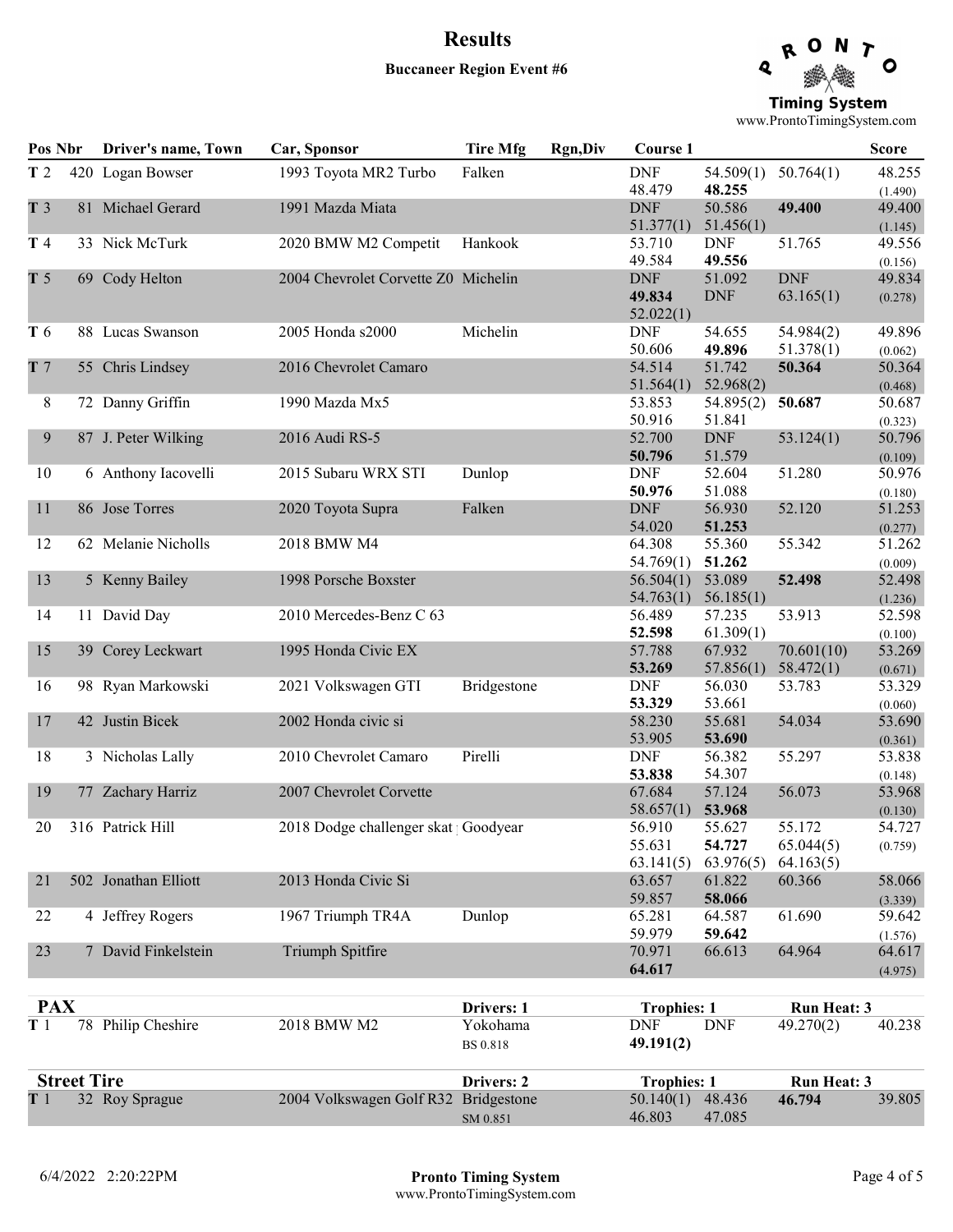### Results Buccaneer Region Event #6



**Timing System** www.ProntoTimingSystem.com

| Pos Nbr        |                    | Driver's name, Town  | Car, Sponsor                         | <b>Tire Mfg</b>             | <b>Rgn,Div</b> | <b>Course 1</b>                   |                               |                                  | <b>Score</b>      |
|----------------|--------------------|----------------------|--------------------------------------|-----------------------------|----------------|-----------------------------------|-------------------------------|----------------------------------|-------------------|
| T <sub>2</sub> |                    | 420 Logan Bowser     | 1993 Toyota MR2 Turbo                | Falken                      |                | <b>DNF</b><br>48.479              | 54.509(1)<br>48.255           | 50.764(1)                        | 48.255<br>(1.490) |
| T <sub>3</sub> |                    | 81 Michael Gerard    | 1991 Mazda Miata                     |                             |                | <b>DNF</b><br>51.377(1)           | 50.586<br>51.456(1)           | 49.400                           | 49.400<br>(1.145) |
| T 4            |                    | 33 Nick McTurk       | 2020 BMW M2 Competit                 | Hankook                     |                | 53.710<br>49.584                  | <b>DNF</b><br>49.556          | 51.765                           | 49.556<br>(0.156) |
| T <sub>5</sub> |                    | 69 Cody Helton       | 2004 Chevrolet Corvette Z0 Michelin  |                             |                | <b>DNF</b><br>49.834<br>52.022(1) | 51.092<br><b>DNF</b>          | <b>DNF</b><br>63.165(1)          | 49.834<br>(0.278) |
| T 6            |                    | 88 Lucas Swanson     | 2005 Honda s2000                     | Michelin                    |                | <b>DNF</b><br>50.606              | 54.655<br>49.896              | 54.984(2)<br>51.378(1)           | 49.896<br>(0.062) |
| T <sub>7</sub> |                    | 55 Chris Lindsey     | 2016 Chevrolet Camaro                |                             |                | 54.514<br>51.564(1)               | 51.742<br>52.968(2)           | 50.364                           | 50.364<br>(0.468) |
| 8              |                    | 72 Danny Griffin     | 1990 Mazda Mx5                       |                             |                | 53.853<br>50.916                  | 54.895(2)<br>51.841           | 50.687                           | 50.687<br>(0.323) |
| 9              |                    | 87 J. Peter Wilking  | 2016 Audi RS-5                       |                             |                | 52.700<br>50.796                  | <b>DNF</b><br>51.579          | 53.124(1)                        | 50.796<br>(0.109) |
| 10             |                    | 6 Anthony Iacovelli  | 2015 Subaru WRX STI                  | Dunlop                      |                | <b>DNF</b><br>50.976              | 52.604<br>51.088              | 51.280                           | 50.976<br>(0.180) |
| 11             |                    | 86 Jose Torres       | 2020 Toyota Supra                    | Falken                      |                | <b>DNF</b><br>54.020              | 56.930<br>51.253              | 52.120                           | 51.253<br>(0.277) |
| 12             |                    | 62 Melanie Nicholls  | 2018 BMW M4                          |                             |                | 64.308<br>54.769(1)               | 55.360<br>51.262              | 55.342                           | 51.262<br>(0.009) |
| 13             |                    | 5 Kenny Bailey       | 1998 Porsche Boxster                 |                             |                | 56.504(1)<br>54.763(1)            | 53.089<br>56.185(1)           | 52.498                           | 52.498<br>(1.236) |
| 14             |                    | 11 David Day         | 2010 Mercedes-Benz C 63              |                             |                | 56.489<br>52.598                  | 57.235<br>61.309(1)           | 53.913                           | 52.598<br>(0.100) |
| 15             |                    | 39 Corey Leckwart    | 1995 Honda Civic EX                  |                             |                | 57.788<br>53.269                  | 67.932<br>57.856(1)           | 70.601(10)<br>58.472(1)          | 53.269<br>(0.671) |
| 16             |                    | 98 Ryan Markowski    | 2021 Volkswagen GTI                  | Bridgestone                 |                | <b>DNF</b><br>53.329              | 56.030<br>53.661              | 53.783                           | 53.329<br>(0.060) |
| 17             |                    | 42 Justin Bicek      | 2002 Honda civic si                  |                             |                | 58.230<br>53.905                  | 55.681<br>53.690              | 54.034                           | 53.690<br>(0.361) |
| 18             |                    | 3 Nicholas Lally     | 2010 Chevrolet Camaro                | Pirelli                     |                | <b>DNF</b><br>53.838              | 56.382<br>54.307              | 55.297                           | 53.838<br>(0.148) |
| 19             |                    | 77 Zachary Harriz    | 2007 Chevrolet Corvette              |                             |                | 67.684<br>58.657(1)               | 57.124<br>53.968              | 56.073                           | 53.968<br>(0.130) |
| 20             |                    | 316 Patrick Hill     | 2018 Dodge challenger skat Goodyear  |                             |                | 56.910<br>55.631<br>63.141(5)     | 55.627<br>54.727<br>63.976(5) | 55.172<br>65.044(5)<br>64.163(5) | 54.727<br>(0.759) |
| 21             |                    | 502 Jonathan Elliott | 2013 Honda Civic Si                  |                             |                | 63.657<br>59.857                  | 61.822<br>58.066              | 60.366                           | 58.066<br>(3.339) |
| 22             |                    | 4 Jeffrey Rogers     | 1967 Triumph TR4A                    | Dunlop                      |                | 65.281<br>59.979                  | 64.587<br>59.642              | 61.690                           | 59.642<br>(1.576) |
| 23             |                    | 7 David Finkelstein  | Triumph Spitfire                     |                             |                | 70.971<br>64.617                  | 66.613                        | 64.964                           | 64.617<br>(4.975) |
| <b>PAX</b>     |                    |                      |                                      | Drivers: 1                  |                | <b>Trophies: 1</b>                |                               | <b>Run Heat: 3</b>               |                   |
| T <sub>1</sub> |                    | 78 Philip Cheshire   | 2018 BMW M2                          | Yokohama<br><b>BS 0.818</b> |                | <b>DNF</b><br>49.191(2)           | <b>DNF</b>                    | 49.270(2)                        | 40.238            |
|                | <b>Street Tire</b> |                      |                                      | Drivers: 2                  |                | <b>Trophies: 1</b>                |                               | <b>Run Heat: 3</b>               |                   |
| T1             |                    | 32 Roy Sprague       | 2004 Volkswagen Golf R32 Bridgestone | SM 0.851                    |                | 50.140(1)<br>46.803               | 48.436<br>47.085              | 46.794                           | 39.805            |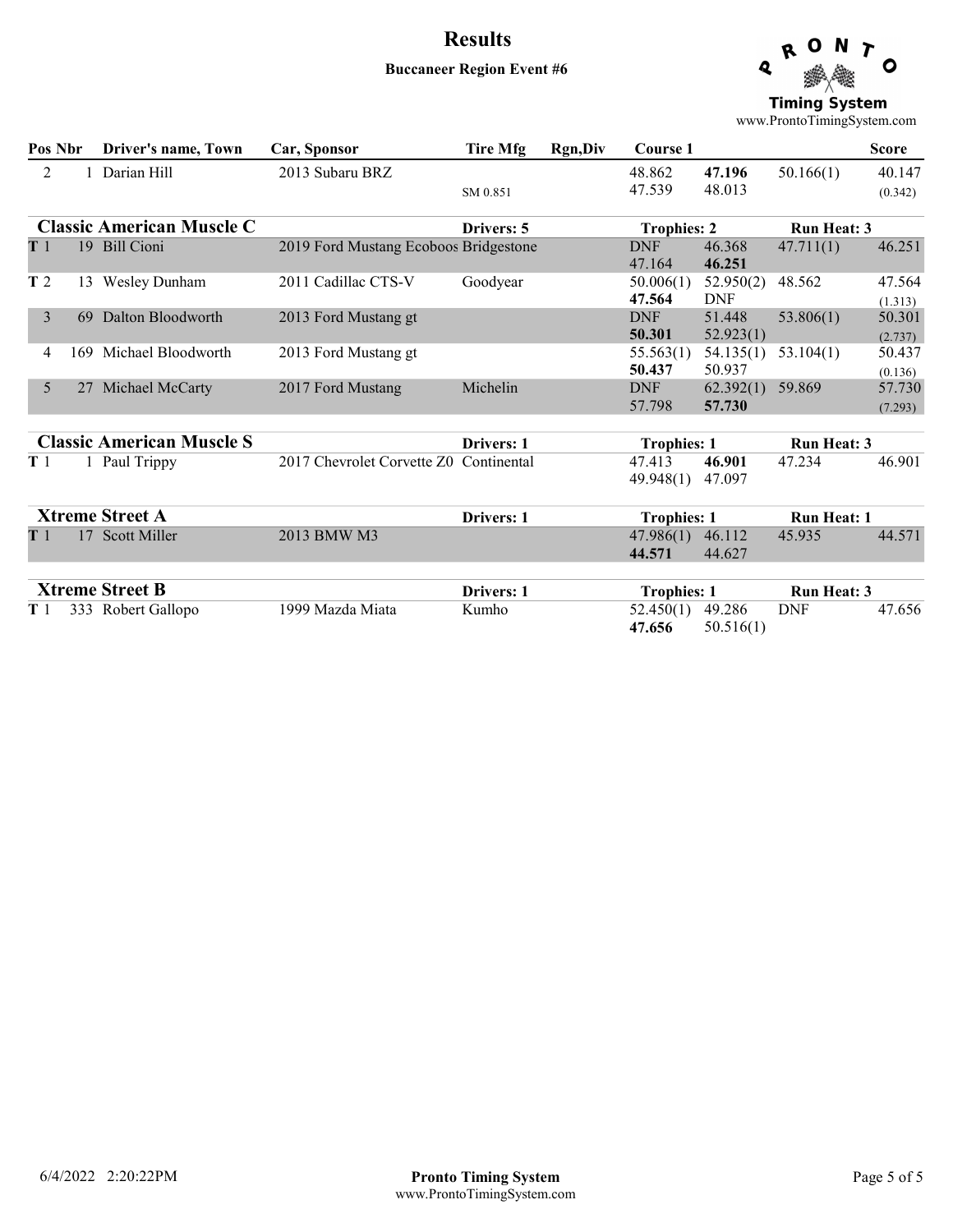#### Buccaneer Region Event #6



**Timing System** www.ProntoTimingSystem.com

| Pos Nbr        |     | Driver's name, Town              | Car, Sponsor                          | Tire Mfg          | <b>Rgn,Div</b> | Course 1             |                         |                    | <b>Score</b>      |
|----------------|-----|----------------------------------|---------------------------------------|-------------------|----------------|----------------------|-------------------------|--------------------|-------------------|
| 2              |     | Darian Hill                      | 2013 Subaru BRZ                       | SM 0.851          |                | 48.862<br>47.539     | 47.196<br>48.013        | 50.166(1)          | 40.147<br>(0.342) |
|                |     | <b>Classic American Muscle C</b> |                                       | Drivers: 5        |                | <b>Trophies: 2</b>   |                         | <b>Run Heat: 3</b> |                   |
| T <sub>1</sub> |     | 19 Bill Cioni                    | 2019 Ford Mustang Ecoboos Bridgestone |                   |                | <b>DNF</b><br>47.164 | 46.368<br>46.251        | 47.711(1)          | 46.251            |
| T <sub>2</sub> |     | 13 Wesley Dunham                 | 2011 Cadillac CTS-V                   | Goodyear          |                | 50.006(1)<br>47.564  | 52.950(2)<br><b>DNF</b> | 48.562             | 47.564<br>(1.313) |
| 3              | 69  | Dalton Bloodworth                | 2013 Ford Mustang gt                  |                   |                | <b>DNF</b><br>50.301 | 51.448<br>52.923(1)     | 53.806(1)          | 50.301<br>(2.737) |
| 4              | 169 | Michael Bloodworth               | 2013 Ford Mustang gt                  |                   |                | 55.563(1)<br>50.437  | 54.135(1)<br>50.937     | 53.104(1)          | 50.437<br>(0.136) |
| 5              |     | 27 Michael McCarty               | 2017 Ford Mustang                     | Michelin          |                | <b>DNF</b><br>57.798 | 62.392(1)<br>57.730     | 59.869             | 57.730<br>(7.293) |
|                |     | <b>Classic American Muscle S</b> |                                       | <b>Drivers: 1</b> |                | <b>Trophies: 1</b>   |                         | <b>Run Heat: 3</b> |                   |
| T <sub>1</sub> |     | 1 Paul Trippy                    | 2017 Chevrolet Corvette Z0            | Continental       |                | 47.413<br>49.948(1)  | 46.901<br>47.097        | 47.234             | 46.901            |
|                |     | <b>Xtreme Street A</b>           |                                       | Drivers: 1        |                | <b>Trophies: 1</b>   |                         | <b>Run Heat: 1</b> |                   |
| T 1            |     | 17 Scott Miller                  | 2013 BMW M3                           |                   |                | 47.986(1)<br>44.571  | 46.112<br>44.627        | 45.935             | 44.571            |
|                |     | <b>Xtreme Street B</b>           |                                       | Drivers: 1        |                | <b>Trophies: 1</b>   |                         | <b>Run Heat: 3</b> |                   |
| T1             |     | 333 Robert Gallopo               | 1999 Mazda Miata                      | Kumho             |                | 52.450(1)<br>47.656  | 49.286<br>50.516(1)     | <b>DNF</b>         | 47.656            |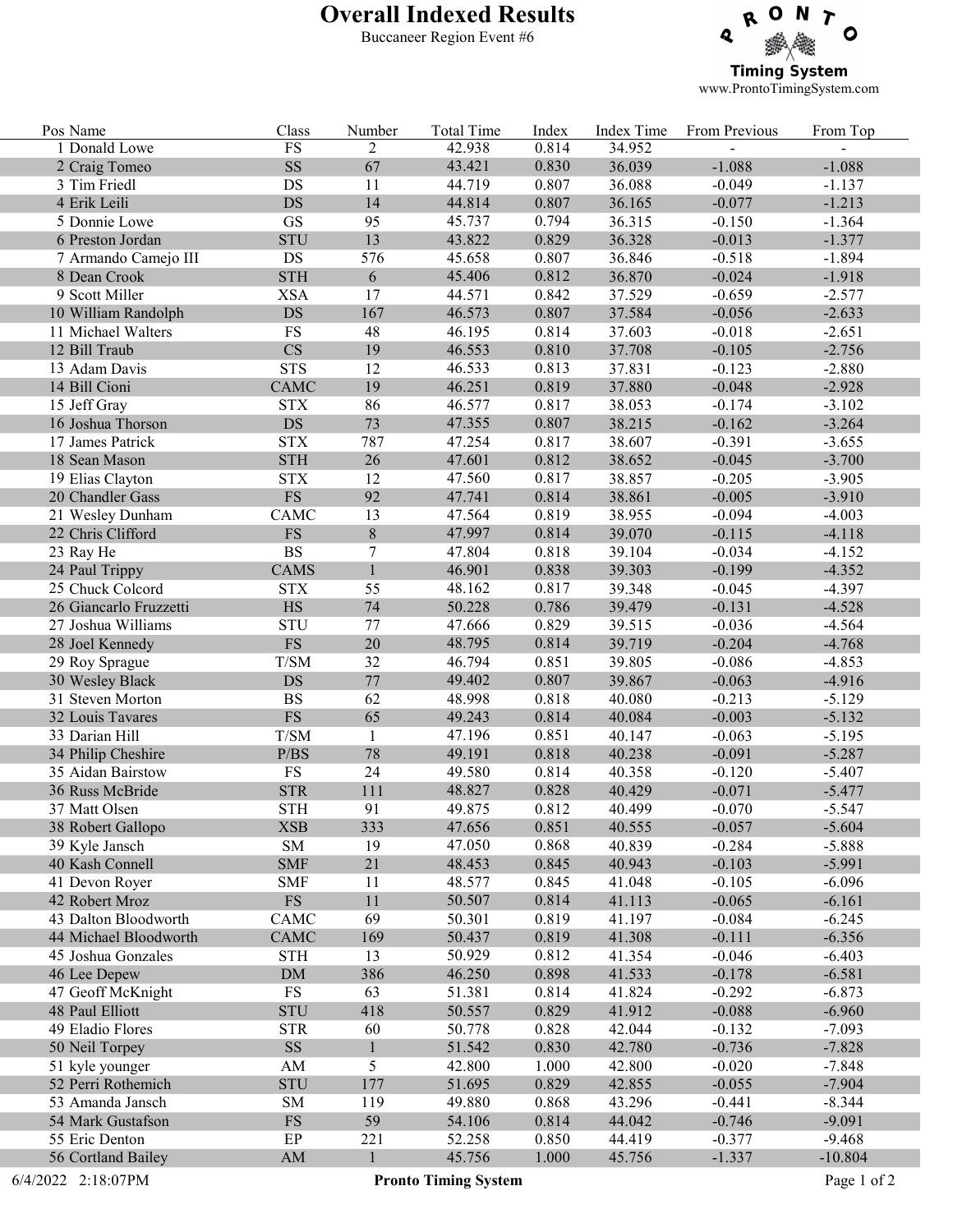# Overall Indexed Results

Buccaneer Region Event #6



www.ProntoTimingSystem.com

| Pos Name               | Class                  | Number         | <b>Total Time</b>           | Index | Index Time | From Previous | From Top    |
|------------------------|------------------------|----------------|-----------------------------|-------|------------|---------------|-------------|
| 1 Donald Lowe          | $\mathop{\text{FS}}$   | $\overline{2}$ | 42.938                      | 0.814 | 34.952     |               |             |
| 2 Craig Tomeo          | $\mathbf{S}\mathbf{S}$ | 67             | 43.421                      | 0.830 | 36.039     | $-1.088$      | $-1.088$    |
| 3 Tim Friedl           | DS                     | 11             | 44.719                      | 0.807 | 36.088     | $-0.049$      | $-1.137$    |
| 4 Erik Leili           | <b>DS</b>              | 14             | 44.814                      | 0.807 | 36.165     | $-0.077$      | $-1.213$    |
| 5 Donnie Lowe          | <b>GS</b>              | 95             | 45.737                      | 0.794 | 36.315     | $-0.150$      | $-1.364$    |
| 6 Preston Jordan       | <b>STU</b>             | 13             | 43.822                      | 0.829 | 36.328     | $-0.013$      | $-1.377$    |
| 7 Armando Camejo III   | DS                     | 576            | 45.658                      | 0.807 | 36.846     | $-0.518$      | $-1.894$    |
| 8 Dean Crook           | <b>STH</b>             | 6              | 45.406                      | 0.812 | 36.870     | $-0.024$      | $-1.918$    |
| 9 Scott Miller         | <b>XSA</b>             | 17             | 44.571                      | 0.842 | 37.529     | $-0.659$      | $-2.577$    |
| 10 William Randolph    | <b>DS</b>              | 167            | 46.573                      | 0.807 | 37.584     | $-0.056$      | $-2.633$    |
| 11 Michael Walters     | <b>FS</b>              | 48             | 46.195                      | 0.814 | 37.603     | $-0.018$      | $-2.651$    |
| 12 Bill Traub          | $\overline{\text{CS}}$ | 19             | 46.553                      | 0.810 | 37.708     | $-0.105$      | $-2.756$    |
| 13 Adam Davis          | <b>STS</b>             | 12             | 46.533                      | 0.813 | 37.831     | $-0.123$      | $-2.880$    |
| 14 Bill Cioni          | CAMC                   | 19             | 46.251                      | 0.819 | 37.880     | $-0.048$      | $-2.928$    |
| 15 Jeff Gray           | <b>STX</b>             | 86             | 46.577                      | 0.817 | 38.053     | $-0.174$      | $-3.102$    |
| 16 Joshua Thorson      | $\mathop{\rm DS}$      | 73             | 47.355                      | 0.807 | 38.215     | $-0.162$      | $-3.264$    |
| 17 James Patrick       | <b>STX</b>             | 787            | 47.254                      | 0.817 | 38.607     | $-0.391$      | $-3.655$    |
| 18 Sean Mason          | <b>STH</b>             | 26             | 47.601                      | 0.812 | 38.652     | $-0.045$      | $-3.700$    |
| 19 Elias Clayton       | <b>STX</b>             | 12             | 47.560                      | 0.817 | 38.857     | $-0.205$      | $-3.905$    |
|                        | $\mathop{\text{FS}}$   |                |                             |       |            |               |             |
| 20 Chandler Gass       |                        | 92             | 47.741                      | 0.814 | 38.861     | $-0.005$      | $-3.910$    |
| 21 Wesley Dunham       | CAMC                   | 13             | 47.564                      | 0.819 | 38.955     | $-0.094$      | $-4.003$    |
| 22 Chris Clifford      | ${\rm FS}$             | $8\,$          | 47.997                      | 0.814 | 39.070     | $-0.115$      | $-4.118$    |
| 23 Ray He              | <b>BS</b>              | $\tau$         | 47.804                      | 0.818 | 39.104     | $-0.034$      | $-4.152$    |
| 24 Paul Trippy         | <b>CAMS</b>            | $\mathbf{1}$   | 46.901                      | 0.838 | 39.303     | $-0.199$      | $-4.352$    |
| 25 Chuck Colcord       | <b>STX</b>             | 55             | 48.162                      | 0.817 | 39.348     | $-0.045$      | $-4.397$    |
| 26 Giancarlo Fruzzetti | <b>HS</b>              | 74             | 50.228                      | 0.786 | 39.479     | $-0.131$      | $-4.528$    |
| 27 Joshua Williams     | <b>STU</b>             | 77             | 47.666                      | 0.829 | 39.515     | $-0.036$      | $-4.564$    |
| 28 Joel Kennedy        | $\mathop{\text{FS}}$   | 20             | 48.795                      | 0.814 | 39.719     | $-0.204$      | $-4.768$    |
| 29 Roy Sprague         | T/SM                   | 32             | 46.794                      | 0.851 | 39.805     | $-0.086$      | $-4.853$    |
| 30 Wesley Black        | <b>DS</b>              | $77\,$         | 49.402                      | 0.807 | 39.867     | $-0.063$      | $-4.916$    |
| 31 Steven Morton       | <b>BS</b>              | 62             | 48.998                      | 0.818 | 40.080     | $-0.213$      | $-5.129$    |
| 32 Louis Tavares       | $\mathop{\text{FS}}$   | 65             | 49.243                      | 0.814 | 40.084     | $-0.003$      | $-5.132$    |
| 33 Darian Hill         | T/SM                   | $\mathbf{1}$   | 47.196                      | 0.851 | 40.147     | $-0.063$      | $-5.195$    |
| 34 Philip Cheshire     | P/BS                   | 78             | 49.191                      | 0.818 | 40.238     | $-0.091$      | $-5.287$    |
| 35 Aidan Bairstow      | <b>FS</b>              | 24             | 49.580                      | 0.814 | 40.358     | $-0.120$      | $-5.407$    |
| 36 Russ McBride        | <b>STR</b>             | 111            | 48.827                      | 0.828 | 40.429     | $-0.071$      | $-5.477$    |
| 37 Matt Olsen          | <b>STH</b>             | 91             | 49.875                      | 0.812 | 40.499     | $-0.070$      | $-5.547$    |
| 38 Robert Gallopo      | XSB                    | 333            | 47.656                      | 0.851 | 40.555     | $-0.057$      | $-5.604$    |
| 39 Kyle Jansch         | ${\rm SM}$             | 19             | 47.050                      | 0.868 | 40.839     | $-0.284$      | $-5.888$    |
| 40 Kash Connell        | <b>SMF</b>             | 21             | 48.453                      | 0.845 | 40.943     | $-0.103$      | $-5.991$    |
| 41 Devon Royer         | <b>SMF</b>             | 11             | 48.577                      | 0.845 | 41.048     | $-0.105$      | $-6.096$    |
| 42 Robert Mroz         | $\mathop{\text{FS}}$   | 11             | 50.507                      | 0.814 | 41.113     | $-0.065$      | $-6.161$    |
| 43 Dalton Bloodworth   | <b>CAMC</b>            | 69             | 50.301                      | 0.819 | 41.197     | $-0.084$      | $-6.245$    |
| 44 Michael Bloodworth  | <b>CAMC</b>            | 169            | 50.437                      | 0.819 | 41.308     | $-0.111$      | $-6.356$    |
| 45 Joshua Gonzales     | <b>STH</b>             | 13             | 50.929                      | 0.812 | 41.354     | $-0.046$      | $-6.403$    |
| 46 Lee Depew           | DM                     | 386            | 46.250                      | 0.898 | 41.533     | $-0.178$      | $-6.581$    |
| 47 Geoff McKnight      | <b>FS</b>              | 63             | 51.381                      | 0.814 | 41.824     | $-0.292$      | $-6.873$    |
| 48 Paul Elliott        | <b>STU</b>             | 418            | 50.557                      | 0.829 | 41.912     | $-0.088$      | $-6.960$    |
| 49 Eladio Flores       | <b>STR</b>             | 60             | 50.778                      | 0.828 | 42.044     | $-0.132$      | $-7.093$    |
|                        |                        |                | 51.542                      | 0.830 |            |               |             |
| 50 Neil Torpey         | $\rm SS$               | $\mathbf{1}$   |                             |       | 42.780     | $-0.736$      | $-7.828$    |
| 51 kyle younger        | AM                     | 5              | 42.800                      | 1.000 | 42.800     | $-0.020$      | $-7.848$    |
| 52 Perri Rothemich     | <b>STU</b>             | 177            | 51.695                      | 0.829 | 42.855     | $-0.055$      | $-7.904$    |
| 53 Amanda Jansch       | ${\rm SM}$             | 119            | 49.880                      | 0.868 | 43.296     | $-0.441$      | $-8.344$    |
| 54 Mark Gustafson      | ${\rm FS}$             | 59             | 54.106                      | 0.814 | 44.042     | $-0.746$      | $-9.091$    |
| 55 Eric Denton         | EP                     | 221            | 52.258                      | 0.850 | 44.419     | $-0.377$      | $-9.468$    |
| 56 Cortland Bailey     | ${\rm AM}$             |                | 45.756                      | 1.000 | 45.756     | $-1.337$      | $-10.804$   |
| 6/4/2022 2:18:07PM     |                        |                | <b>Pronto Timing System</b> |       |            |               | Page 1 of 2 |

e.

i.

i<br>L

F

I.

i. 

İ.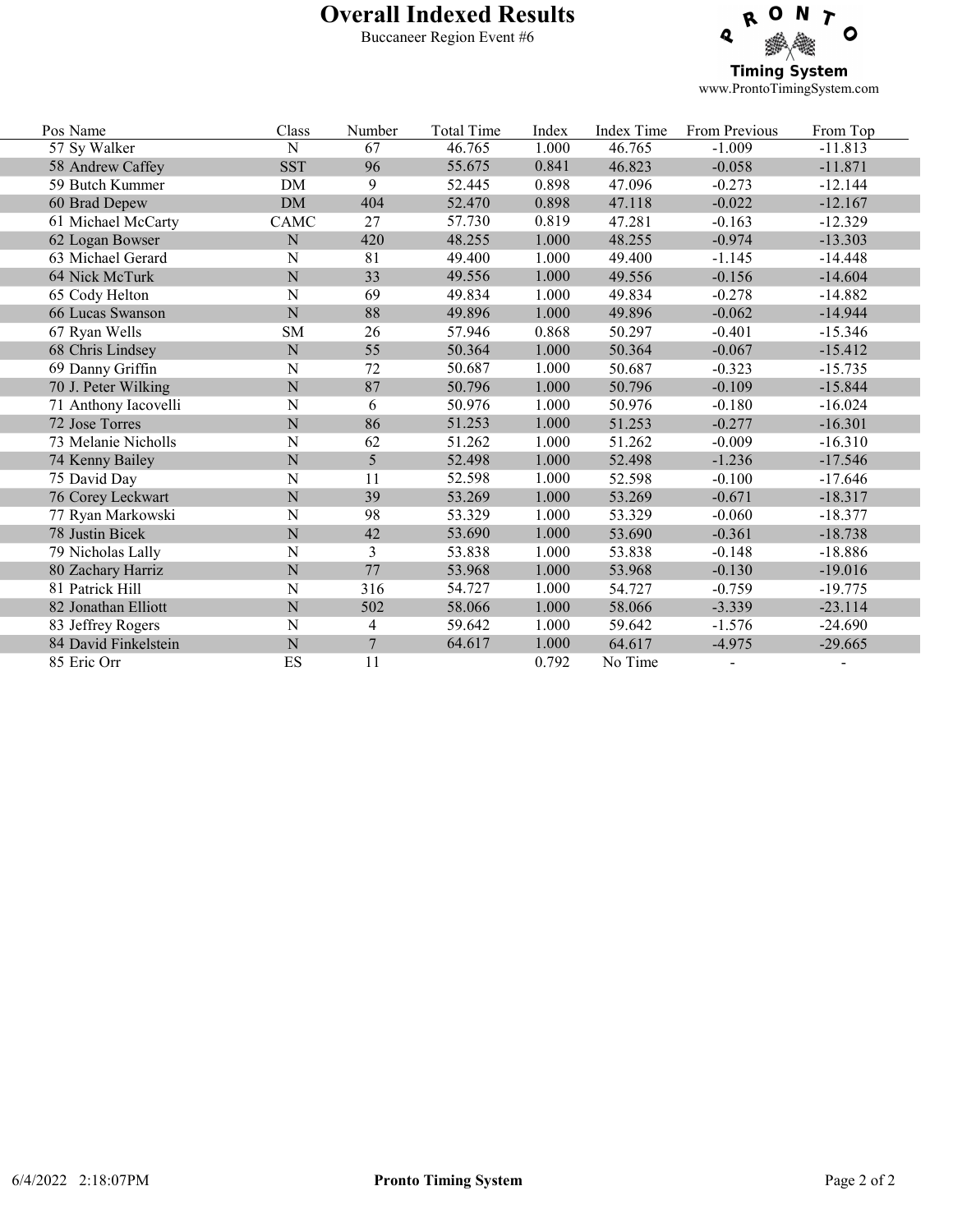# Overall Indexed Results

Buccaneer Region Event #6



www.ProntoTimingSystem.com

| Pos Name             | Class       | Number         | <b>Total Time</b> | Index | Index Time | From Previous | From Top  |
|----------------------|-------------|----------------|-------------------|-------|------------|---------------|-----------|
| 57 Sy Walker         | $\mathbf N$ | 67             | 46.765            | 1.000 | 46.765     | $-1.009$      | $-11.813$ |
| 58 Andrew Caffey     | <b>SST</b>  | 96             | 55.675            | 0.841 | 46.823     | $-0.058$      | $-11.871$ |
| 59 Butch Kummer      | <b>DM</b>   | 9              | 52.445            | 0.898 | 47.096     | $-0.273$      | $-12.144$ |
| 60 Brad Depew        | DM          | 404            | 52.470            | 0.898 | 47.118     | $-0.022$      | $-12.167$ |
| 61 Michael McCarty   | CAMC        | 27             | 57.730            | 0.819 | 47.281     | $-0.163$      | $-12.329$ |
| 62 Logan Bowser      | ${\bf N}$   | 420            | 48.255            | 1.000 | 48.255     | $-0.974$      | $-13.303$ |
| 63 Michael Gerard    | N           | 81             | 49.400            | 1.000 | 49.400     | $-1.145$      | $-14.448$ |
| 64 Nick McTurk       | ${\bf N}$   | 33             | 49.556            | 1.000 | 49.556     | $-0.156$      | $-14.604$ |
| 65 Cody Helton       | $\mathbf N$ | 69             | 49.834            | 1.000 | 49.834     | $-0.278$      | $-14.882$ |
| 66 Lucas Swanson     | ${\bf N}$   | 88             | 49.896            | 1.000 | 49.896     | $-0.062$      | $-14.944$ |
| 67 Ryan Wells        | ${\rm SM}$  | 26             | 57.946            | 0.868 | 50.297     | $-0.401$      | $-15.346$ |
| 68 Chris Lindsey     | ${\bf N}$   | 55             | 50.364            | 1.000 | 50.364     | $-0.067$      | $-15.412$ |
| 69 Danny Griffin     | $\mathbf N$ | 72             | 50.687            | 1.000 | 50.687     | $-0.323$      | $-15.735$ |
| 70 J. Peter Wilking  | ${\bf N}$   | 87             | 50.796            | 1.000 | 50.796     | $-0.109$      | $-15.844$ |
| 71 Anthony Iacovelli | $\mathbf N$ | 6              | 50.976            | 1.000 | 50.976     | $-0.180$      | $-16.024$ |
| 72 Jose Torres       | ${\bf N}$   | 86             | 51.253            | 1.000 | 51.253     | $-0.277$      | $-16.301$ |
| 73 Melanie Nicholls  | $\mathbf N$ | 62             | 51.262            | 1.000 | 51.262     | $-0.009$      | $-16.310$ |
| 74 Kenny Bailey      | ${\bf N}$   | 5              | 52.498            | 1.000 | 52.498     | $-1.236$      | $-17.546$ |
| 75 David Day         | $\mathbf N$ | 11             | 52.598            | 1.000 | 52.598     | $-0.100$      | $-17.646$ |
| 76 Corey Leckwart    | ${\bf N}$   | 39             | 53.269            | 1.000 | 53.269     | $-0.671$      | $-18.317$ |
| 77 Ryan Markowski    | $\mathbf N$ | 98             | 53.329            | 1.000 | 53.329     | $-0.060$      | $-18.377$ |
| 78 Justin Bicek      | ${\bf N}$   | 42             | 53.690            | 1.000 | 53.690     | $-0.361$      | $-18.738$ |
| 79 Nicholas Lally    | $\mathbf N$ | 3              | 53.838            | 1.000 | 53.838     | $-0.148$      | $-18.886$ |
| 80 Zachary Harriz    | ${\bf N}$   | 77             | 53.968            | 1.000 | 53.968     | $-0.130$      | $-19.016$ |
| 81 Patrick Hill      | $\mathbf N$ | 316            | 54.727            | 1.000 | 54.727     | $-0.759$      | $-19.775$ |
| 82 Jonathan Elliott  | ${\bf N}$   | 502            | 58.066            | 1.000 | 58.066     | $-3.339$      | $-23.114$ |
| 83 Jeffrey Rogers    | N           | $\overline{4}$ | 59.642            | 1.000 | 59.642     | $-1.576$      | $-24.690$ |
| 84 David Finkelstein | ${\bf N}$   | $\overline{7}$ | 64.617            | 1.000 | 64.617     | $-4.975$      | $-29.665$ |
| 85 Eric Orr          | ES          | 11             |                   | 0.792 | No Time    |               |           |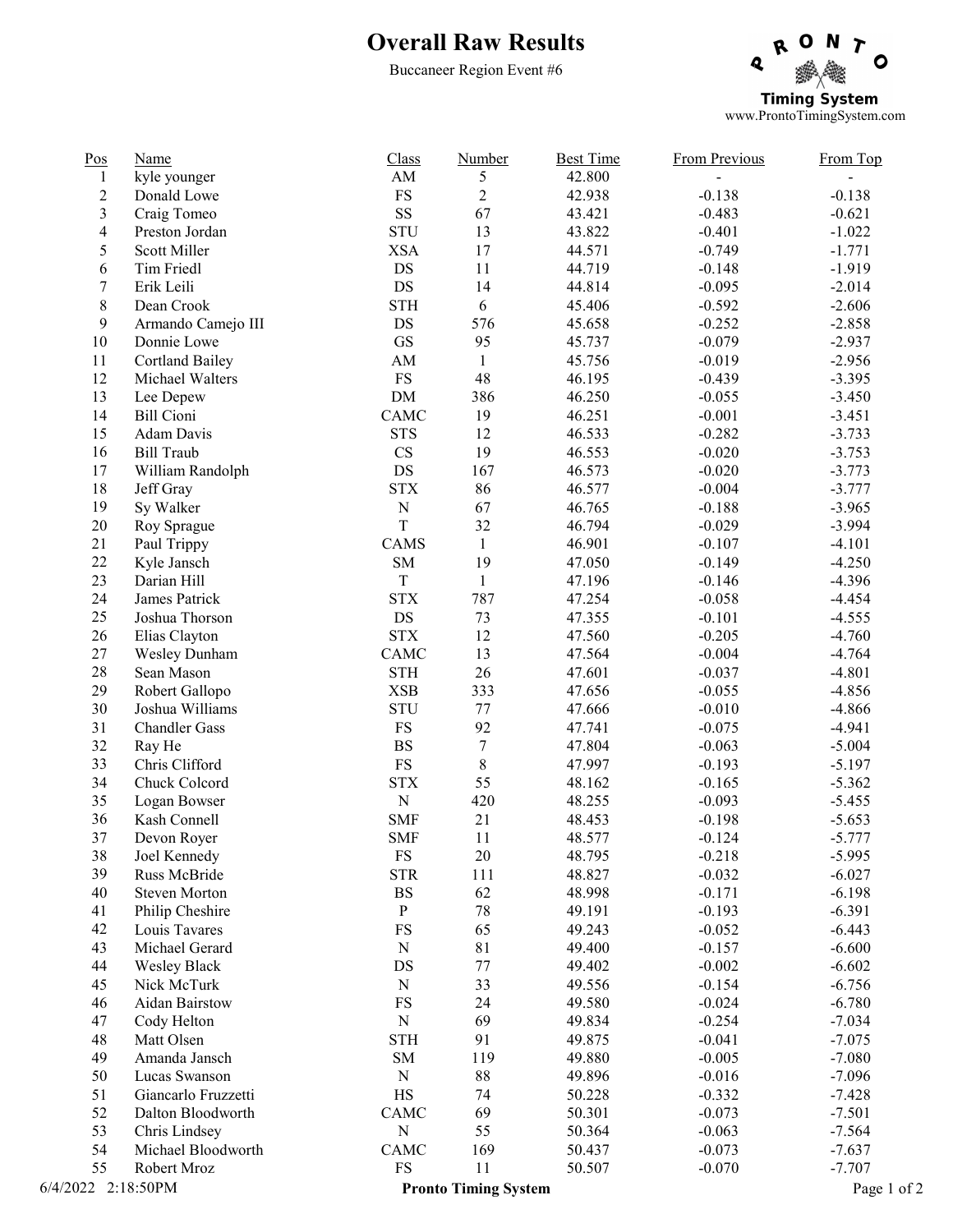# Overall Raw Results

Buccaneer Region Event #6



www.ProntoTimingSystem.com

| $\underline{Pos}$  | <b>Name</b>            | Class                    | Number                      | <b>Best Time</b> | <b>From Previous</b> | From Top    |
|--------------------|------------------------|--------------------------|-----------------------------|------------------|----------------------|-------------|
| $\mathbf{1}$       | kyle younger           | AM                       | 5                           | 42.800           |                      |             |
| $\overline{c}$     | Donald Lowe            | <b>FS</b>                | $\overline{2}$              | 42.938           | $-0.138$             | $-0.138$    |
| $\mathfrak{Z}$     | Craig Tomeo            | SS                       | 67                          | 43.421           | $-0.483$             | $-0.621$    |
| $\overline{4}$     | Preston Jordan         | <b>STU</b>               | 13                          | 43.822           | $-0.401$             | $-1.022$    |
| 5                  | Scott Miller           | <b>XSA</b>               | 17                          | 44.571           | $-0.749$             | $-1.771$    |
| 6                  | Tim Friedl             | DS                       | 11                          | 44.719           | $-0.148$             | $-1.919$    |
| $\boldsymbol{7}$   | Erik Leili             | DS                       | 14                          | 44.814           | $-0.095$             | $-2.014$    |
| $8\,$              | Dean Crook             | <b>STH</b>               | 6                           | 45.406           | $-0.592$             | $-2.606$    |
| 9                  | Armando Camejo III     | DS                       | 576                         | 45.658           | $-0.252$             | $-2.858$    |
| $10\,$             | Donnie Lowe            | $\operatorname{GS}$      | 95                          | 45.737           | $-0.079$             | $-2.937$    |
| 11                 | <b>Cortland Bailey</b> | $\mathbf{A}\mathbf{M}$   | $\mathbf{1}$                | 45.756           | $-0.019$             | $-2.956$    |
| 12                 | Michael Walters        | <b>FS</b>                | 48                          | 46.195           | $-0.439$             | $-3.395$    |
| 13                 | Lee Depew              | $DM$                     | 386                         | 46.250           | $-0.055$             | $-3.450$    |
| 14                 | <b>Bill Cioni</b>      | CAMC                     | 19                          | 46.251           | $-0.001$             | $-3.451$    |
| 15                 | Adam Davis             | <b>STS</b>               | 12                          | 46.533           | $-0.282$             | $-3.733$    |
| 16                 | <b>Bill Traub</b>      | $\mathbf{C}\mathbf{S}$   | 19                          | 46.553           | $-0.020$             | $-3.753$    |
| 17                 | William Randolph       | DS                       | 167                         | 46.573           | $-0.020$             | $-3.773$    |
| $18\,$             | Jeff Gray              | <b>STX</b>               | 86                          | 46.577           | $-0.004$             | $-3.777$    |
| 19                 | Sy Walker              | ${\bf N}$                | 67                          | 46.765           | $-0.188$             | $-3.965$    |
| $20\,$             | Roy Sprague            | $\bar{T}$                | 32                          | 46.794           | $-0.029$             | $-3.994$    |
| 21                 | Paul Trippy            | CAMS                     | $\mathbf{1}$                | 46.901           | $-0.107$             | $-4.101$    |
| 22                 | Kyle Jansch            | ${\rm SM}$               | 19                          | 47.050           | $-0.149$             | $-4.250$    |
| 23                 | Darian Hill            | $\rm T$                  | $\mathbf{1}$                | 47.196           | $-0.146$             | $-4.396$    |
| 24                 | James Patrick          | $\operatorname{STX}$     | 787                         | 47.254           | $-0.058$             | $-4.454$    |
| 25                 | Joshua Thorson         | $\mathop{\rm DS}$        | 73                          | 47.355           | $-0.101$             | $-4.555$    |
| 26                 | Elias Clayton          | <b>STX</b>               | 12                          | 47.560           | $-0.205$             | $-4.760$    |
| $27\,$             | Wesley Dunham          | CAMC                     | 13                          | 47.564           | $-0.004$             | $-4.764$    |
| 28                 | Sean Mason             | <b>STH</b>               | 26                          | 47.601           | $-0.037$             | $-4.801$    |
| 29                 | Robert Gallopo         | <b>XSB</b>               | 333                         | 47.656           | $-0.055$             | $-4.856$    |
| 30                 | Joshua Williams        | <b>STU</b>               | $77 \,$                     | 47.666           | $-0.010$             | $-4.866$    |
| 31                 | <b>Chandler Gass</b>   | <b>FS</b>                | 92                          | 47.741           | $-0.075$             | $-4.941$    |
| 32                 | Ray He                 | $\mathbf{B}\mathbf{S}$   | $\boldsymbol{7}$            | 47.804           | $-0.063$             | $-5.004$    |
| 33                 | Chris Clifford         | ${\rm FS}$               | $\,8\,$                     | 47.997           | $-0.193$             | $-5.197$    |
| 34                 | Chuck Colcord          | <b>STX</b>               | 55                          | 48.162           | $-0.165$             | $-5.362$    |
| 35                 | Logan Bowser           | ${\bf N}$                | 420                         | 48.255           | $-0.093$             | $-5.455$    |
| 36                 | Kash Connell           | <b>SMF</b>               | 21                          | 48.453           | $-0.198$             | $-5.653$    |
| 37                 | Devon Royer            | <b>SMF</b>               | 11                          | 48.577           | $-0.124$             | $-5.777$    |
| 38                 | Joel Kennedy           | FS                       | 20                          | 48.795           | $-0.218$             | $-5.995$    |
| 39                 | Russ McBride           | <b>STR</b>               | 111                         | 48.827           | $-0.032$             | $-6.027$    |
| 40                 | <b>Steven Morton</b>   | <b>BS</b>                | 62                          | 48.998           | $-0.171$             | $-6.198$    |
| 41                 | Philip Cheshire        | $\mathbf{P}$             | $78\,$                      | 49.191           | $-0.193$             | $-6.391$    |
| 42                 | Louis Tavares          | FS                       | 65                          | 49.243           | $-0.052$             | $-6.443$    |
| 43                 | Michael Gerard         | $\mathbf N$              | 81                          | 49.400           | $-0.157$             | $-6.600$    |
| 44                 | <b>Wesley Black</b>    | $DS$                     | $77 \,$                     | 49.402           | $-0.002$             | $-6.602$    |
| 45                 | Nick McTurk            | $\mathbf N$              | 33                          | 49.556           | $-0.154$             | $-6.756$    |
| 46                 | Aidan Bairstow         | $\mathop{\text{FS}}$     | 24                          | 49.580           | $-0.024$             | $-6.780$    |
| 47                 | Cody Helton            | ${\bf N}$                | 69                          | 49.834           | $-0.254$             | $-7.034$    |
| 48                 | Matt Olsen             | <b>STH</b>               | 91                          | 49.875           | $-0.041$             | $-7.075$    |
| 49                 | Amanda Jansch          | SM                       | 119                         | 49.880           | $-0.005$             | $-7.080$    |
| 50                 | Lucas Swanson          | ${\bf N}$                | 88                          | 49.896           | $-0.016$             | $-7.096$    |
| 51                 | Giancarlo Fruzzetti    | $\rm HS$                 | 74                          | 50.228           | $-0.332$             | $-7.428$    |
| 52                 | Dalton Bloodworth      | $\mathop{\mathrm{CAMC}}$ | 69                          | 50.301           | $-0.073$             | $-7.501$    |
| 53                 | Chris Lindsey          | ${\bf N}$                | 55                          | 50.364           | $-0.063$             | $-7.564$    |
| 54                 | Michael Bloodworth     | CAMC                     | 169                         | 50.437           | $-0.073$             | $-7.637$    |
| 55                 | Robert Mroz            | <b>FS</b>                | 11                          | 50.507           | $-0.070$             | $-7.707$    |
| 6/4/2022 2:18:50PM |                        |                          | <b>Pronto Timing System</b> |                  |                      | Page 1 of 2 |